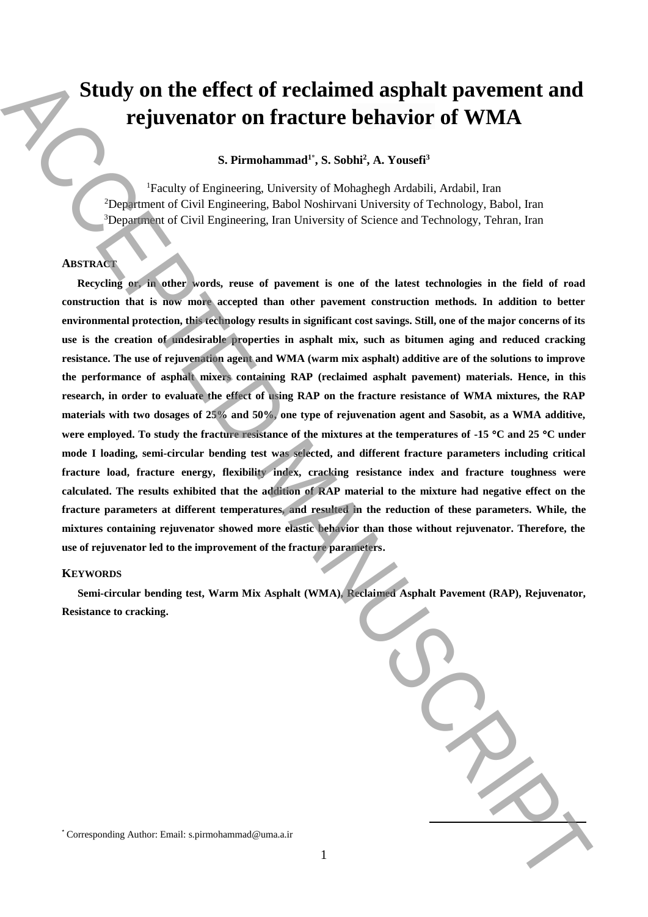# **Study on the effect of reclaimed asphalt pavement and rejuvenator on fracture behavior of WMA**

# **S. Pirmohammad<sup>1</sup>**\* **, S. Sobhi<sup>2</sup> , A. Yousefi<sup>3</sup>**

<sup>1</sup>Faculty of Engineering, University of Mohaghegh Ardabili, Ardabil, Iran <sup>2</sup>Department of Civil Engineering, Babol Noshirvani University of Technology, Babol, Iran <sup>3</sup>Department of Civil Engineering, Iran University of Science and Technology, Tehran, Iran

## **ABSTRACT**

**Recycling or, in other words, reuse of pavement is one of the latest technologies in the field of road construction that is now more accepted than other pavement construction methods. In addition to better environmental protection, this technology results in significant cost savings. Still, one of the major concerns of its use is the creation of undesirable properties in asphalt mix, such as bitumen aging and reduced cracking resistance. The use of rejuvenation agent and WMA (warm mix asphalt) additive are of the solutions to improve the performance of asphalt mixers containing RAP (reclaimed asphalt pavement) materials. Hence, in this research, in order to evaluate the effect of using RAP on the fracture resistance of WMA mixtures, the RAP materials with two dosages of 25% and 50%, one type of rejuvenation agent and Sasobit, as a WMA additive, were employed. To study the fracture resistance of the mixtures at the temperatures of -15 C and 25 C under mode I loading, semi-circular bending test was selected, and different fracture parameters including critical fracture load, fracture energy, flexibility index, cracking resistance index and fracture toughness were calculated. The results exhibited that the addition of RAP material to the mixture had negative effect on the fracture parameters at different temperatures, and resulted in the reduction of these parameters. While, the mixtures containing rejuvenator showed more elastic behavior than those without rejuvenator. Therefore, the use of rejuvenator led to the improvement of the fracture parameters.**  Study on the effect of reclaimed apphalt pavement and<br>regiuve and responding  $\alpha$ . Formula and  $\alpha$  Euclide State Corresponding Automatic State Corresponding Automatic State Corresponding Corresponding Corresponding Corre

## **KEYWORDS**

**Semi-circular bending test, Warm Mix Asphalt (WMA), Reclaimed Asphalt Pavement (RAP), Rejuvenator, Resistance to cracking.**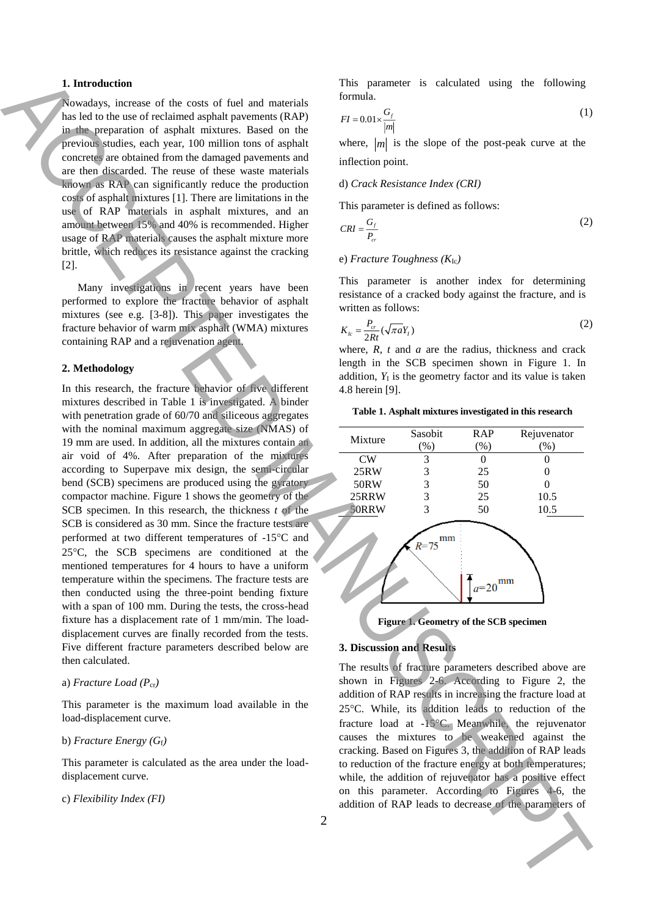## **1. Introduction**

Nowadays, increase of the costs of fuel and materials has led to the use of reclaimed asphalt pavements (RAP) in the preparation of asphalt mixtures. Based on the previous studies, each year, 100 million tons of asphalt concretes are obtained from the damaged pavements and are then discarded. The reuse of these waste materials known as RAP can significantly reduce the production costs of asphalt mixtures [1]. There are limitations in the use of RAP materials in asphalt mixtures, and an amount between 15% and 40% is recommended. Higher usage of RAP materials causes the asphalt mixture more brittle, which reduces its resistance against the cracking [2].

Many investigations in recent years have been performed to explore the fracture behavior of asphalt mixtures (see e.g. [3-8]). This paper investigates the fracture behavior of warm mix asphalt (WMA) mixtures containing RAP and a rejuvenation agent.

## **2. Methodology**

In this research, the fracture behavior of five different mixtures described in Table 1 is investigated. A binder with penetration grade of 60/70 and siliceous aggregates with the nominal maximum aggregate size (NMAS) of 19 mm are used. In addition, all the mixtures contain an air void of 4%. After preparation of the mixtures according to Superpave mix design, the semi-circular bend (SCB) specimens are produced using the gyratory compactor machine. Figure 1 shows the geometry of the SCB specimen. In this research, the thickness *t* of the SCB is considered as 30 mm. Since the fracture tests are performed at two different temperatures of -15°C and 25C, the SCB specimens are conditioned at the mentioned temperatures for 4 hours to have a uniform temperature within the specimens. The fracture tests are then conducted using the three-point bending fixture with a span of 100 mm. During the tests, the cross-head fixture has a displacement rate of 1 mm/min. The loaddisplacement curves are finally recorded from the tests. Five different fracture parameters described below are then calculated. **1.** Interaction of Ref. 2013 and European Control into the parameters of ACCEPTE and the CE second control into the parameters of ACCEPTE and CE second control into the parameters of ACCEPTE and the parameters of ACCEPTE

## a) *Fracture Load (P*cr*)*

This parameter is the maximum load available in the load-displacement curve.

# b) *Fracture Energy (G*f*)*

This parameter is calculated as the area under the loaddisplacement curve.

c) *Flexibility Index (FI)*

This parameter is calculated using the following formula.

$$
FI = 0.01 \times \frac{G_f}{|m|} \tag{1}
$$

where,  $|m|$  is the slope of the post-peak curve at the inflection point.

## d) *Crack Resistance Index (CRI)*

This parameter is defined as follows:

$$
CRI = \frac{G_f}{P_{cr}}\tag{2}
$$

## e) *Fracture Toughness (K*Ic*)*

This parameter is another index for determining resistance of a cracked body against the fracture, and is written as follows:

$$
K_{lc} = \frac{P_{cr}}{2Rt} (\sqrt{\pi a} Y_I)
$$
 (2)

where, *R*, *t* and *a* are the radius, thickness and crack length in the SCB specimen shown in Figure 1. In addition,  $Y_I$  is the geometry factor and its value is taken 4.8 herein [9].

## **Table 1. Asphalt mixtures investigated in this research**





## **3. Discussion and Results**

The results of fracture parameters described above are shown in Figures 2-6. According to Figure 2, the addition of RAP results in increasing the fracture load at 25C. While, its addition leads to reduction of the fracture load at -15°C. Meanwhile, the rejuvenator causes the mixtures to be weakened against the cracking. Based on Figures 3, the addition of RAP leads to reduction of the fracture energy at both temperatures; while, the addition of rejuvenator has a positive effect on this parameter. According to Figures 4-6, the